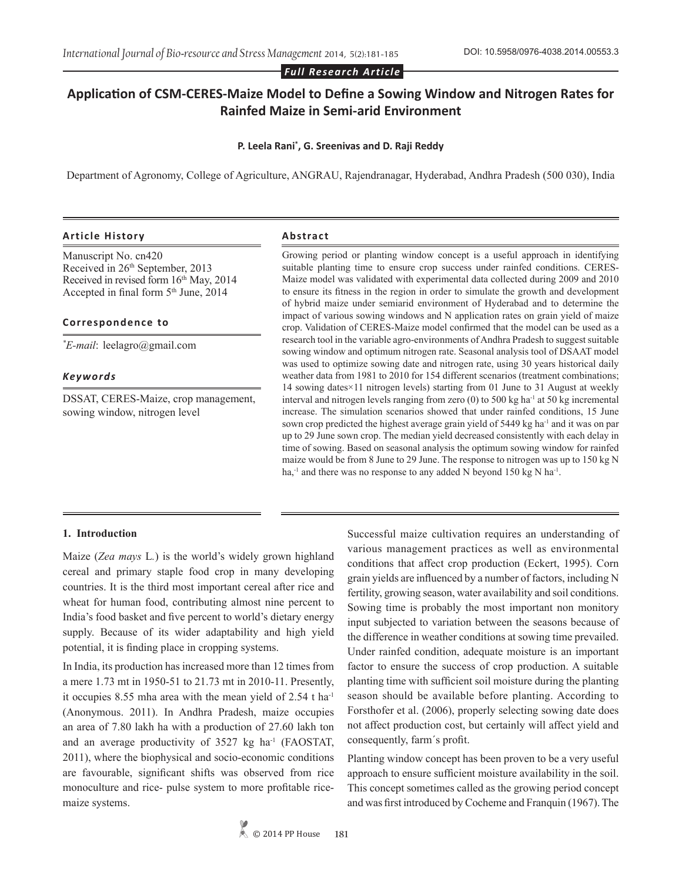*Full Research Article*

# **Application of CSM-CERES-Maize Model to Define a Sowing Window and Nitrogen Rates for Rainfed Maize in Semi-arid Environment**

#### **P. Leela Rani\* , G. Sreenivas and D. Raji Reddy**

Department of Agronomy, College of Agriculture, ANGRAU, Rajendranagar, Hyderabad, Andhra Pradesh (500 030), India

#### **Article History Abstract**

Manuscript No. cn420 Received in 26<sup>th</sup> September, 2013 Received in revised form  $16<sup>th</sup>$  May, 2014 Accepted in final form 5<sup>th</sup> June, 2014

#### **Correspondence to**

*\* E-mail*: leelagro@gmail.com

#### *Keywords*

DSSAT, CERES-Maize, crop management, sowing window, nitrogen level

Growing period or planting window concept is a useful approach in identifying suitable planting time to ensure crop success under rainfed conditions. CERES-Maize model was validated with experimental data collected during 2009 and 2010 to ensure its fitness in the region in order to simulate the growth and development of hybrid maize under semiarid environment of Hyderabad and to determine the impact of various sowing windows and N application rates on grain yield of maize crop. Validation of CERES-Maize model confirmed that the model can be used as a research tool in the variable agro-environments of Andhra Pradesh to suggest suitable sowing window and optimum nitrogen rate. Seasonal analysis tool of DSAAT model was used to optimize sowing date and nitrogen rate, using 30 years historical daily weather data from 1981 to 2010 for 154 different scenarios (treatment combinations; 14 sowing dates×11 nitrogen levels) starting from 01 June to 31 August at weekly interval and nitrogen levels ranging from zero  $(0)$  to 500 kg ha<sup>-1</sup> at 50 kg incremental increase. The simulation scenarios showed that under rainfed conditions, 15 June sown crop predicted the highest average grain yield of 5449 kg ha-1 and it was on par up to 29 June sown crop. The median yield decreased consistently with each delay in time of sowing. Based on seasonal analysis the optimum sowing window for rainfed maize would be from 8 June to 29 June. The response to nitrogen was up to 150 kg N ha,<sup>-1</sup> and there was no response to any added N beyond 150 kg N ha<sup>-1</sup>.

#### **1. Introduction**

Maize (*Zea mays* L*.*) is the world's widely grown highland cereal and primary staple food crop in many developing countries. It is the third most important cereal after rice and wheat for human food, contributing almost nine percent to India's food basket and five percent to world's dietary energy supply. Because of its wider adaptability and high yield potential, it is finding place in cropping systems.

In India, its production has increased more than 12 times from a mere 1.73 mt in 1950-51 to 21.73 mt in 2010-11. Presently, it occupies 8.55 mha area with the mean yield of 2.54 t ha-1 (Anonymous. 2011). In Andhra Pradesh, maize occupies an area of 7.80 lakh ha with a production of 27.60 lakh ton and an average productivity of  $3527$  kg ha<sup>-1</sup> (FAOSTAT, 2011), where the biophysical and socio-economic conditions are favourable, significant shifts was observed from rice monoculture and rice- pulse system to more profitable ricemaize systems.

Successful maize cultivation requires an understanding of various management practices as well as environmental conditions that affect crop production (Eckert, 1995). Corn grain yields are influenced by a number of factors, including N fertility, growing season, water availability and soil conditions. Sowing time is probably the most important non monitory input subjected to variation between the seasons because of the difference in weather conditions at sowing time prevailed. Under rainfed condition, adequate moisture is an important factor to ensure the success of crop production. A suitable planting time with sufficient soil moisture during the planting season should be available before planting. According to Forsthofer et al. (2006), properly selecting sowing date does not affect production cost, but certainly will affect yield and consequently, farm´s profit.

Planting window concept has been proven to be a very useful approach to ensure sufficient moisture availability in the soil. This concept sometimes called as the growing period concept and was first introduced by Cocheme and Franquin (1967). The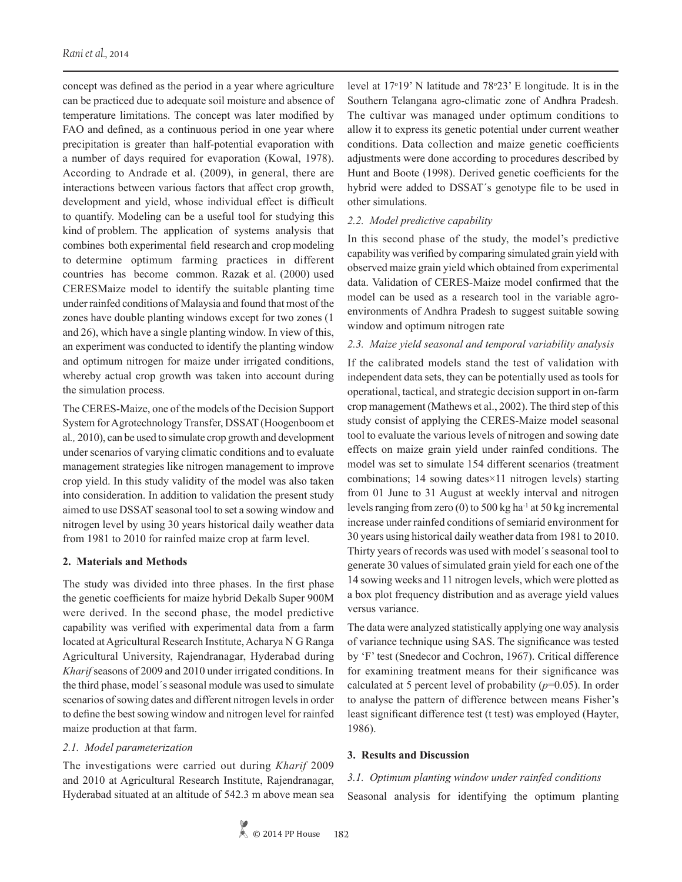concept was defined as the period in a year where agriculture can be practiced due to adequate soil moisture and absence of temperature limitations. The concept was later modified by FAO and defined, as a continuous period in one year where precipitation is greater than half-potential evaporation with a number of days required for evaporation (Kowal, 1978). According to Andrade et al. (2009), in general, there are interactions between various factors that affect crop growth, development and yield, whose individual effect is difficult to quantify. Modeling can be a useful tool for studying this kind of problem. The application of systems analysis that combines both experimental field research and crop modeling to determine optimum farming practices in different countries has become common. Razak et al. (2000) used CERESMaize model to identify the suitable planting time under rainfed conditions of Malaysia and found that most of the zones have double planting windows except for two zones (1 and 26), which have a single planting window. In view of this, an experiment was conducted to identify the planting window and optimum nitrogen for maize under irrigated conditions, whereby actual crop growth was taken into account during the simulation process.

The CERES-Maize, one of the models of the Decision Support System for Agrotechnology Transfer, DSSAT (Hoogenboom et al*.,* 2010), can be used to simulate crop growth and development under scenarios of varying climatic conditions and to evaluate management strategies like nitrogen management to improve crop yield. In this study validity of the model was also taken into consideration. In addition to validation the present study aimed to use DSSAT seasonal tool to set a sowing window and nitrogen level by using 30 years historical daily weather data from 1981 to 2010 for rainfed maize crop at farm level.

## **2. Materials and Methods**

The study was divided into three phases. In the first phase the genetic coefficients for maize hybrid Dekalb Super 900M were derived. In the second phase, the model predictive capability was verified with experimental data from a farm located at Agricultural Research Institute, Acharya N G Ranga Agricultural University, Rajendranagar, Hyderabad during *Kharif* seasons of 2009 and 2010 under irrigated conditions. In the third phase, model´s seasonal module was used to simulate scenarios of sowing dates and different nitrogen levels in order to define the best sowing window and nitrogen level for rainfed maize production at that farm.

## *2.1. Model parameterization*

The investigations were carried out during *Kharif* 2009 and 2010 at Agricultural Research Institute, Rajendranagar, Hyderabad situated at an altitude of 542.3 m above mean sea level at  $17°19'$  N latitude and  $78°23'$  E longitude. It is in the Southern Telangana agro-climatic zone of Andhra Pradesh. The cultivar was managed under optimum conditions to allow it to express its genetic potential under current weather conditions. Data collection and maize genetic coefficients adjustments were done according to procedures described by Hunt and Boote (1998). Derived genetic coefficients for the hybrid were added to DSSAT´s genotype file to be used in other simulations.

## *2.2. Model predictive capability*

In this second phase of the study, the model's predictive capability was verified by comparing simulated grain yield with observed maize grain yield which obtained from experimental data. Validation of CERES-Maize model confirmed that the model can be used as a research tool in the variable agroenvironments of Andhra Pradesh to suggest suitable sowing window and optimum nitrogen rate

## *2.3. Maize yield seasonal and temporal variability analysis*

If the calibrated models stand the test of validation with independent data sets, they can be potentially used as tools for operational, tactical, and strategic decision support in on-farm crop management (Mathews et al., 2002). The third step of this study consist of applying the CERES-Maize model seasonal tool to evaluate the various levels of nitrogen and sowing date effects on maize grain yield under rainfed conditions. The model was set to simulate 154 different scenarios (treatment combinations; 14 sowing dates×11 nitrogen levels) starting from 01 June to 31 August at weekly interval and nitrogen levels ranging from zero (0) to 500 kg ha<sup>-1</sup> at 50 kg incremental increase under rainfed conditions of semiarid environment for 30 years using historical daily weather data from 1981 to 2010. Thirty years of records was used with model´s seasonal tool to generate 30 values of simulated grain yield for each one of the 14 sowing weeks and 11 nitrogen levels, which were plotted as a box plot frequency distribution and as average yield values versus variance.

The data were analyzed statistically applying one way analysis of variance technique using SAS. The significance was tested by 'F' test (Snedecor and Cochron, 1967). Critical difference for examining treatment means for their significance was calculated at 5 percent level of probability (*p*=0.05). In order to analyse the pattern of difference between means Fisher's least significant difference test (t test) was employed (Hayter, 1986).

## **3. Results and Discussion**

# *3.1. Optimum planting window under rainfed conditions* Seasonal analysis for identifying the optimum planting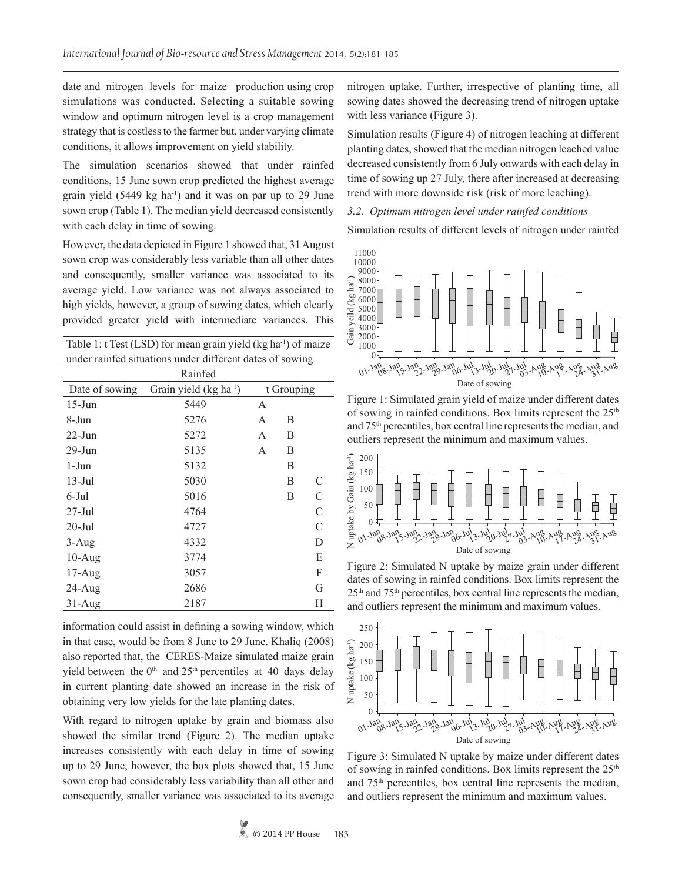date and nitrogen levels for maize production using crop simulations was conducted. Selecting a suitable sowing window and optimum nitrogen level is a crop management strategy that is costless to the farmer but, under varying climate conditions, it allows improvement on yield stability.

The simulation scenarios showed that under rainfed conditions, 15 June sown crop predicted the highest average grain yield (5449 kg ha<sup>-1</sup>) and it was on par up to 29 June sown crop (Table 1). The median yield decreased consistently with each delay in time of sowing.

However, the data depicted in Figure 1 showed that, 31 August sown crop was considerably less variable than all other dates and consequently, smaller variance was associated to its average yield. Low variance was not always associated to high yields, however, a group of sowing dates, which clearly provided greater yield with intermediate variances. This

| Table 1: $t$ Test (LSD) for mean grain yield (kg ha <sup>-1</sup> ) of maize |  |
|------------------------------------------------------------------------------|--|
| under rainfed situations under different dates of sowing                     |  |

|                | Rainfed                            |                |   |   |
|----------------|------------------------------------|----------------|---|---|
| Date of sowing | Grain yield (kg ha <sup>-1</sup> ) | t Grouping     |   |   |
| $15$ -Jun      | 5449                               | A              |   |   |
| 8-Jun          | 5276                               | $\overline{A}$ | B |   |
| $22$ -Jun      | 5272                               | A              | B |   |
| $29$ -Jun      | 5135                               | A              | B |   |
| 1-Jun          | 5132                               |                | B |   |
| $13$ -Jul      | 5030                               |                | B | C |
| 6-Jul          | 5016                               |                | B | C |
| $27$ -Jul      | 4764                               |                |   | C |
| $20$ -Jul      | 4727                               |                |   | C |
| $3-Aug$        | 4332                               |                |   | D |
| $10-Aug$       | 3774                               |                |   | E |
| $17-Aug$       | 3057                               |                |   | F |
| $24$ -Aug      | 2686                               |                |   | G |
| $31-Aug$       | 2187                               |                |   | Н |

information could assist in defining a sowing window, which in that case, would be from 8 June to 29 June. Khaliq (2008) also reported that, the CERES-Maize simulated maize grain yield between the  $0<sup>th</sup>$  and  $25<sup>th</sup>$  percentiles at 40 days delay in current planting date showed an increase in the risk of obtaining very low yields for the late planting dates.

With regard to nitrogen uptake by grain and biomass also showed the similar trend (Figure 2). The median uptake increases consistently with each delay in time of sowing up to 29 June, however, the box plots showed that, 15 June sown crop had considerably less variability than all other and consequently, smaller variance was associated to its average nitrogen uptake. Further, irrespective of planting time, all sowing dates showed the decreasing trend of nitrogen uptake with less variance (Figure 3).

Simulation results (Figure 4) of nitrogen leaching at different planting dates, showed that the median nitrogen leached value decreased consistently from 6 July onwards with each delay in time of sowing up 27 July, there after increased at decreasing trend with more downside risk (risk of more leaching).

#### *3.2. Optimum nitrogen level under rainfed conditions*

Simulation results of different levels of nitrogen under rainfed



Figure 1: Simulated grain yield of maize under different dates of sowing in rainfed conditions. Box limits represent the  $25<sup>th</sup>$ and 75th percentiles, box central line represents the median, and outliers represent the minimum and maximum values.



Figure 2: Simulated N uptake by maize grain under different dates of sowing in rainfed conditions. Box limits represent the 25th and 75th percentiles, box central line represents the median, and outliers represent the minimum and maximum values.



Figure 3: Simulated N uptake by maize under different dates of sowing in rainfed conditions. Box limits represent the  $25<sup>th</sup>$ and 75th percentiles, box central line represents the median,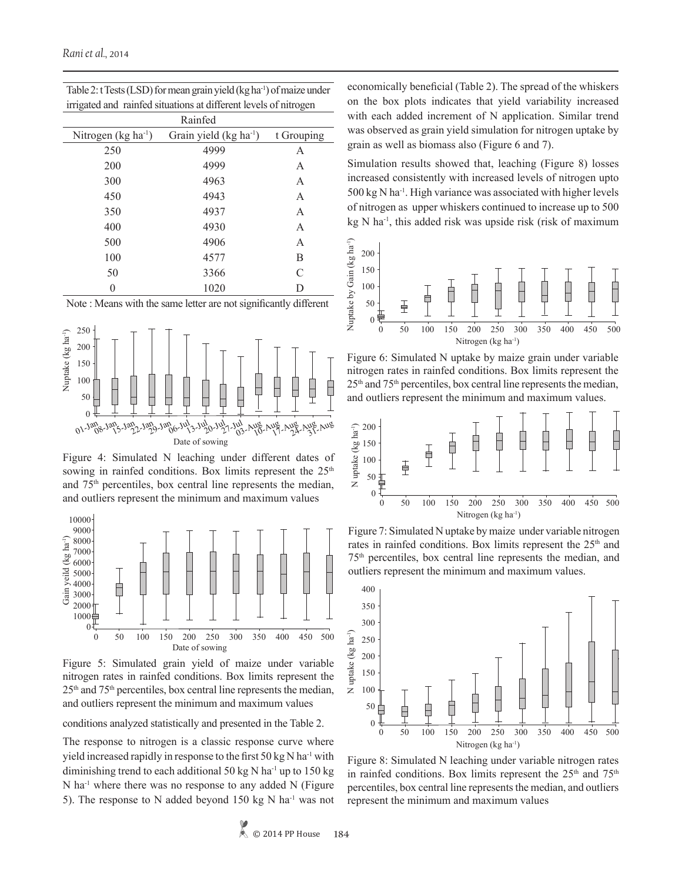| <del></del><br>$\frac{1}{2}$ |                         |            |  |  |  |  |
|------------------------------|-------------------------|------------|--|--|--|--|
| Rainfed                      |                         |            |  |  |  |  |
| Nitrogen $(kg ha-1)$         | Grain yield $(kg ha-1)$ | t Grouping |  |  |  |  |
| 250                          | 4999                    | А          |  |  |  |  |
| 200                          | 4999                    | А          |  |  |  |  |
| 300                          | 4963                    | А          |  |  |  |  |
| 450                          | 4943                    | А          |  |  |  |  |
| 350                          | 4937                    | А          |  |  |  |  |
| 400                          | 4930                    | А          |  |  |  |  |
| 500                          | 4906                    | А          |  |  |  |  |
| 100                          | 4577                    | В          |  |  |  |  |
| 50                           | 3366                    | C          |  |  |  |  |
|                              | 1020                    |            |  |  |  |  |
|                              |                         |            |  |  |  |  |

| Table 2: t Tests (LSD) for mean grain yield (kg ha <sup>-1</sup> ) of maize under |
|-----------------------------------------------------------------------------------|
| irrigated and rainfed situations at different levels of nitrogen                  |

Note : Means with the same letter are not significantly different



Figure 4: Simulated N leaching under different dates of sowing in rainfed conditions. Box limits represent the 25<sup>th</sup> and 75th percentiles, box central line represents the median,



Figure 5: Simulated grain yield of maize under variable nitrogen rates in rainfed conditions. Box limits represent the  $25<sup>th</sup>$  and  $75<sup>th</sup>$  percentiles, box central line represents the median, and outliers represent the minimum and maximum values

conditions analyzed statistically and presented in the Table 2.

The response to nitrogen is a classic response curve where yield increased rapidly in response to the first  $50 \text{ kg N}$  ha<sup>-1</sup> with diminishing trend to each additional 50 kg N ha<sup>-1</sup> up to 150 kg N ha-1 where there was no response to any added N (Figure 5). The response to N added beyond 150 kg N ha<sup>-1</sup> was not economically beneficial (Table 2). The spread of the whiskers on the box plots indicates that yield variability increased with each added increment of N application. Similar trend was observed as grain yield simulation for nitrogen uptake by grain as well as biomass also (Figure 6 and 7).

Simulation results showed that, leaching (Figure 8) losses increased consistently with increased levels of nitrogen upto  $500 \text{ kg N}$  ha<sup>-1</sup>. High variance was associated with higher levels of nitrogen as upper whiskers continued to increase up to 500 kg N ha-1, this added risk was upside risk (risk of maximum



Figure 6: Simulated N uptake by maize grain under variable nitrogen rates in rainfed conditions. Box limits represent the 25th and 75th percentiles, box central line represents the median,



Figure 7: Simulated N uptake by maize under variable nitrogen rates in rainfed conditions. Box limits represent the 25<sup>th</sup> and 75th percentiles, box central line represents the median, and outliers represent the minimum and maximum values.



Figure 8: Simulated N leaching under variable nitrogen rates in rainfed conditions. Box limits represent the  $25<sup>th</sup>$  and  $75<sup>th</sup>$ percentiles, box central line represents the median, and outliers